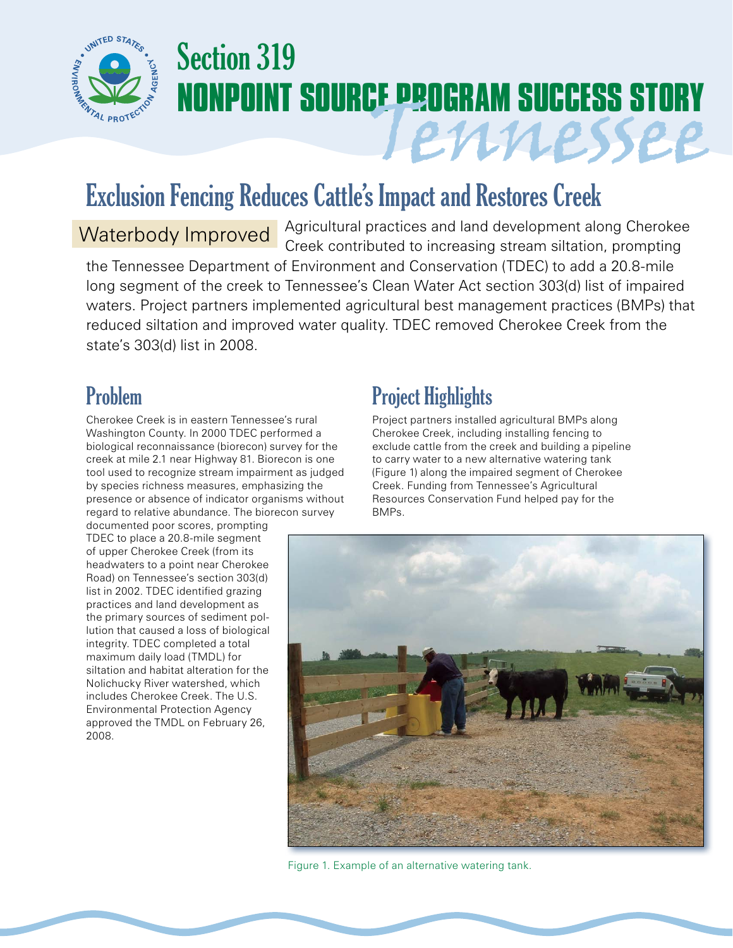

# Section 319 **NONPOINT SOURCE PROGRAM SUCCESS STORY** Tennessee

## Exclusion Fencing Reduces Cattle's Impact and Restores Creek

Agricultural practices and land development along Cherokee Waterbody Improved | Agricultural practices and land development along cheroked<br>Creek contributed to increasing stream siltation, prompting the Tennessee Department of Environment and Conservation (TDEC) to add a 20.8-mile long segment of the creek to Tennessee's Clean Water Act section 303(d) list of impaired waters. Project partners implemented agricultural best management practices (BMPs) that reduced siltation and improved water quality. TDEC removed Cherokee Creek from the state's 303(d) list in 2008.

#### Problem

Cherokee Creek is in eastern Tennessee's rural Washington County. In 2000 TDEC performed a biological reconnaissance (biorecon) survey for the creek at mile 2.1 near Highway 81. Biorecon is one tool used to recognize stream impairment as judged by species richness measures, emphasizing the presence or absence of indicator organisms without regard to relative abundance. The biorecon survey

documented poor scores, prompting TDEC to place a 20.8-mile segment of upper Cherokee Creek (from its headwaters to a point near Cherokee Road) on Tennessee's section 303(d) list in 2002. TDEC identified grazing practices and land development as the primary sources of sediment pollution that caused a loss of biological integrity. TDEC completed a total maximum daily load (TMDL) for siltation and habitat alteration for the Nolichucky River watershed, which includes Cherokee Creek. The U.S. Environmental Protection Agency approved the TMDL on February 26, 2008.

### Project Highlights

Project partners installed agricultural BMPs along Cherokee Creek, including installing fencing to exclude cattle from the creek and building a pipeline to carry water to a new alternative watering tank (Figure 1) along the impaired segment of Cherokee Creek. Funding from Tennessee's Agricultural Resources Conservation Fund helped pay for the BMPs.



Figure 1. Example of an alternative watering tank.